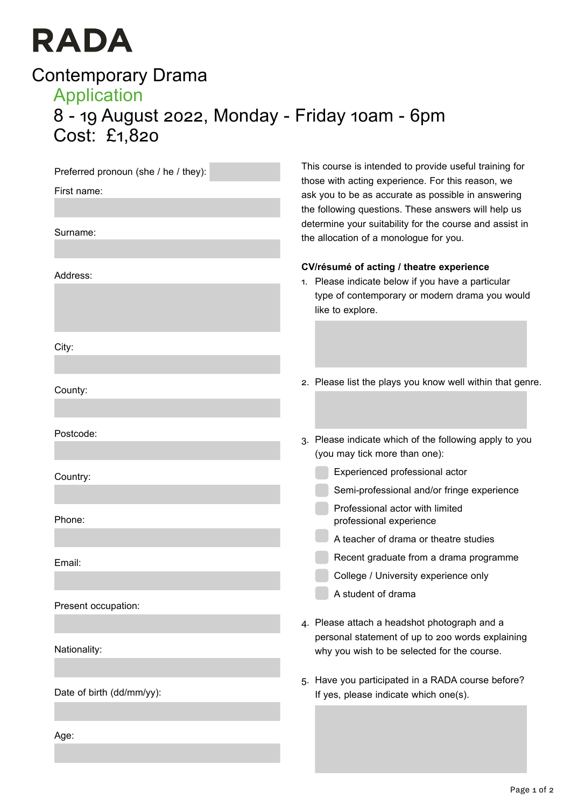# **RADA**

# Contemporary Drama Application 8 - 19 August 2022, Monday - Friday 10am - 6pm Cost: £1,820

| Preferred pronoun (she / he / they):<br>First name: | This course is intended to provide useful training for<br>those with acting experience. For this reason, we<br>ask you to be as accurate as possible in answering<br>the following questions. These answers will help us<br>determine your suitability for the course and assist in<br>the allocation of a monologue for you. |
|-----------------------------------------------------|-------------------------------------------------------------------------------------------------------------------------------------------------------------------------------------------------------------------------------------------------------------------------------------------------------------------------------|
| Surname:                                            |                                                                                                                                                                                                                                                                                                                               |
| Address:                                            | CV/résumé of acting / theatre experience<br>1. Please indicate below if you have a particular<br>type of contemporary or modern drama you would<br>like to explore.                                                                                                                                                           |
| City:                                               |                                                                                                                                                                                                                                                                                                                               |
| County:                                             | 2. Please list the plays you know well within that genre.                                                                                                                                                                                                                                                                     |
| Postcode:                                           | 3. Please indicate which of the following apply to you<br>(you may tick more than one):                                                                                                                                                                                                                                       |
| Country:                                            | Experienced professional actor<br>Semi-professional and/or fringe experience                                                                                                                                                                                                                                                  |
| Phone:                                              | Professional actor with limited<br>professional experience                                                                                                                                                                                                                                                                    |
|                                                     | A teacher of drama or theatre studies                                                                                                                                                                                                                                                                                         |
| Email:                                              | Recent graduate from a drama programme                                                                                                                                                                                                                                                                                        |
|                                                     | College / University experience only                                                                                                                                                                                                                                                                                          |
| Present occupation:                                 | A student of drama                                                                                                                                                                                                                                                                                                            |
|                                                     | 4. Please attach a headshot photograph and a                                                                                                                                                                                                                                                                                  |
| Nationality:                                        | personal statement of up to 200 words explaining<br>why you wish to be selected for the course.                                                                                                                                                                                                                               |
| Date of birth (dd/mm/yy):                           | 5. Have you participated in a RADA course before?<br>If yes, please indicate which one(s).                                                                                                                                                                                                                                    |
| Age:                                                |                                                                                                                                                                                                                                                                                                                               |